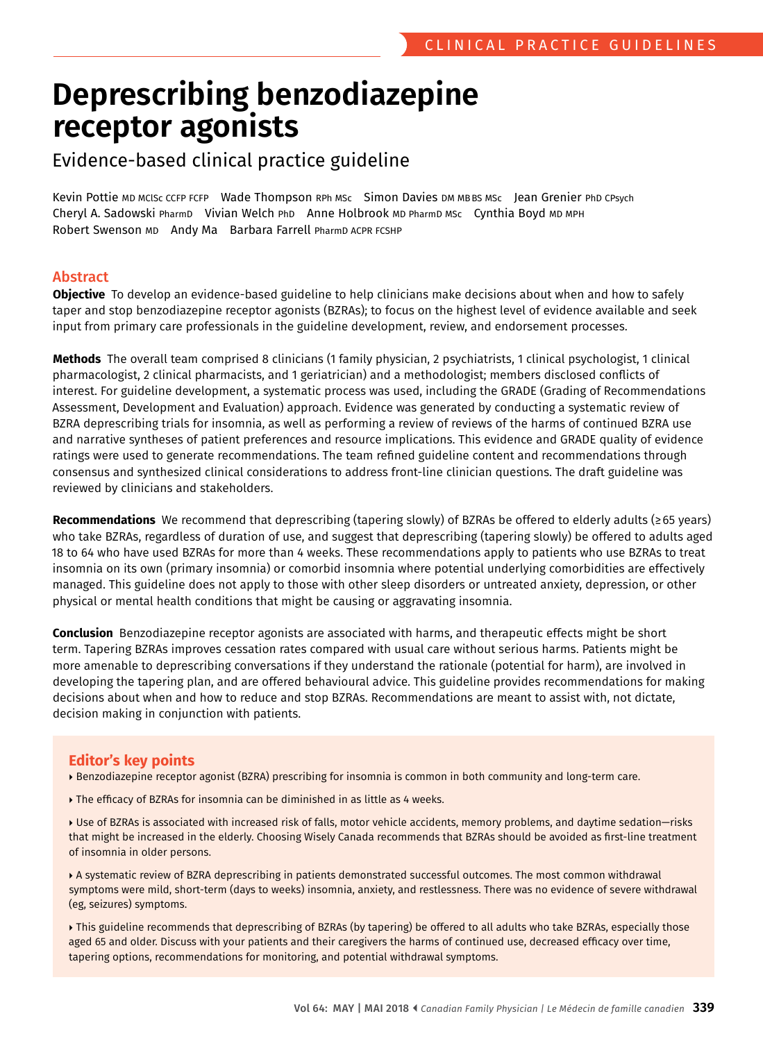# **Deprescribing benzodiazepine receptor agonists**

# Evidence-based clinical practice guideline

 Kevin Pottie MD MClSc CCFP FCFP Wade Thompson RPh MSc Simon Davies DM MBBS MSc Jean Grenier PhD CPsych Cheryl A. Sadowski PharmD Vivian Welch PhD Anne Holbrook MD PharmD MSc Cynthia Boyd MD MPH Robert Swenson MD Andy Ma Barbara Farrell PharmD ACPR FCSHP

## Abstract

**Objective** To develop an evidence-based guideline to help clinicians make decisions about when and how to safely taper and stop benzodiazepine receptor agonists (BZRAs); to focus on the highest level of evidence available and seek input from primary care professionals in the guideline development, review, and endorsement processes.

**Methods** The overall team comprised 8 clinicians (1 family physician, 2 psychiatrists, 1 clinical psychologist, 1 clinical pharmacologist, 2 clinical pharmacists, and 1 geriatrician) and a methodologist; members disclosed conficts of interest. For guideline development, a systematic process was used, including the GRADE (Grading of Recommendations Assessment, Development and Evaluation) approach. Evidence was generated by conducting a systematic review of BZRA deprescribing trials for insomnia, as well as performing a review of reviews of the harms of continued BZRA use and narrative syntheses of patient preferences and resource implications. This evidence and GRADE quality of evidence ratings were used to generate recommendations. The team refned guideline content and recommendations through consensus and synthesized clinical considerations to address front-line clinician questions. The draft guideline was reviewed by clinicians and stakeholders.

 **Recommendations** We recommend that deprescribing (tapering slowly) of BZRAs be offered to elderly adults (≥65 years) who take BZRAs, regardless of duration of use, and suggest that deprescribing (tapering slowly) be offered to adults aged 18 to 64 who have used BZRAs for more than 4 weeks. These recommendations apply to patients who use BZRAs to treat insomnia on its own (primary insomnia) or comorbid insomnia where potential underlying comorbidities are effectively managed. This guideline does not apply to those with other sleep disorders or untreated anxiety, depression, or other physical or mental health conditions that might be causing or aggravating insomnia.

**Conclusion** Benzodiazepine receptor agonists are associated with harms, and therapeutic effects might be short term. Tapering BZRAs improves cessation rates compared with usual care without serious harms. Patients might be more amenable to deprescribing conversations if they understand the rationale (potential for harm), are involved in developing the tapering plan, and are offered behavioural advice. This guideline provides recommendations for making decisions about when and how to reduce and stop BZRAs. Recommendations are meant to assist with, not dictate, decision making in conjunction with patients.

## **Editor's key points**

- Benzodiazepine receptor agonist (BZRA) prescribing for insomnia is common in both community and long-term care.
- The efficacy of BZRAs for insomnia can be diminished in as little as 4 weeks.
- Duse of BZRAs is associated with increased risk of falls, motor vehicle accidents, memory problems, and daytime sedation–risks that might be increased in the elderly. Choosing Wisely Canada recommends that BZRAs should be avoided as frst-line treatment of insomnia in older persons.
- A systematic review of BZRA deprescribing in patients demonstrated successful outcomes. The most common withdrawal symptoms were mild, short-term (days to weeks) insomnia, anxiety, and restlessness. There was no evidence of severe withdrawal (eg, seizures) symptoms.
- ▶ This guideline recommends that deprescribing of BZRAs (by tapering) be offered to all adults who take BZRAs, especially those aged 65 and older. Discuss with your patients and their caregivers the harms of continued use, decreased effcacy over time, tapering options, recommendations for monitoring, and potential withdrawal symptoms.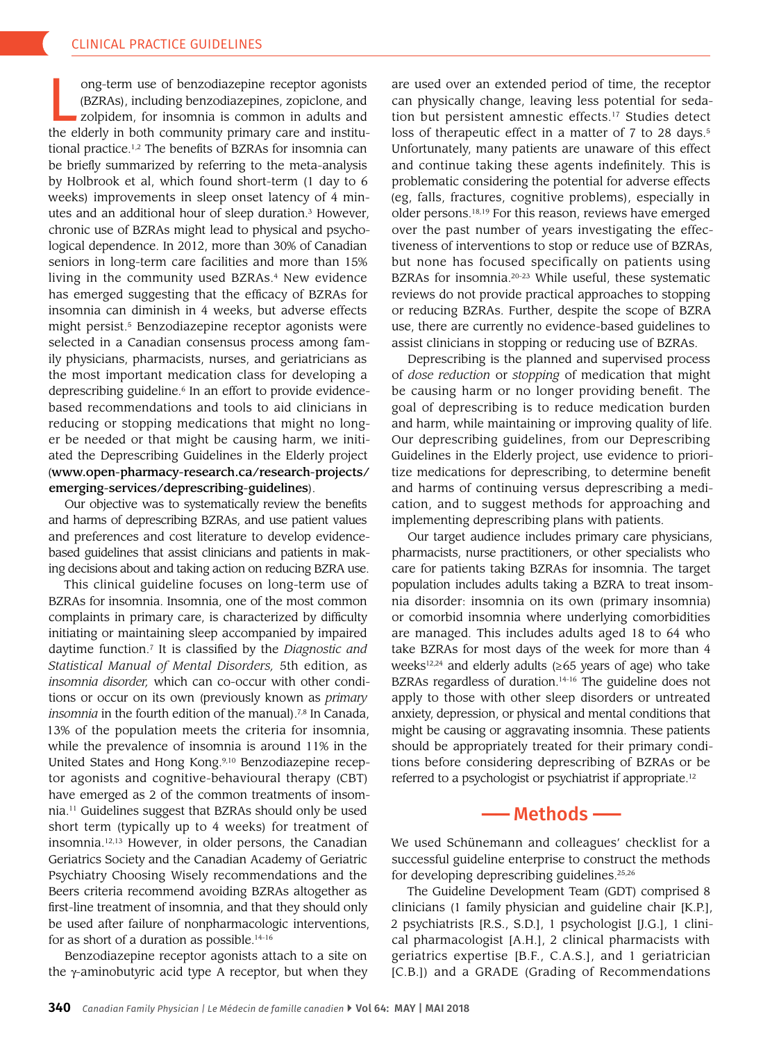ong-term use of benzodiazepine receptor agonists<br>(BZRAs), including benzodiazepines, zopiclone, and<br>zolpidem, for insomnia is common in adults and<br>the elderly in both community primary care and institu-(BZRAs), including benzodiazepines, zopiclone, and zolpidem, for insomnia is common in adults and the elderly in both community primary care and institu tional practice.1,2 The benefits of BZRAs for insomnia can be briefly summarized by referring to the meta-analysis by Holbrook et al, which found short-term (1 day to 6 weeks) improvements in sleep onset latency of 4 min utes and an additional hour of sleep duration.<sup>3</sup> However, chronic use of BZRAs might lead to physical and psycho logical dependence. In 2012, more than 30% of Canadian seniors in long-term care facilities and more than 15% living in the community used BZRAs.<sup>4</sup> New evidence has emerged suggesting that the efficacy of BZRAs for insomnia can diminish in 4 weeks, but adverse effects might persist.<sup>5</sup> Benzodiazepine receptor agonists were selected in a Canadian consensus process among fam ily physicians, pharmacists, nurses, and geriatricians as the most important medication class for developing a deprescribing guideline.6 In an effort to provide evidence based recommendations and tools to aid clinicians in reducing or stopping medications that might no long er be needed or that might be causing harm, we initi ated the Deprescribing Guidelines in the Elderly project ([www.open-pharmacy-research.ca/research-projects/](http://www.open-pharmacy-research.ca/research-projects/ emerging-services/deprescribing-guidelines)  [emerging-services/deprescribing-guidelines](http://www.open-pharmacy-research.ca/research-projects/ emerging-services/deprescribing-guidelines)).

Our objective was to systematically review the benefits and harms of deprescribing BZRAs, and use patient values and preferences and cost literature to develop evidencebased guidelines that assist clinicians and patients in mak ing decisions about and taking action on reducing BZRA use.

This clinical guideline focuses on long-term use of BZRAs for insomnia. Insomnia, one of the most common complaints in primary care, is characterized by difficulty initiating or maintaining sleep accompanied by impaired daytime function.7 It is classified by the *Diagnostic and Statistical Manual of Mental Disorders,* 5th edition, as *insomnia disorder,* which can co-occur with other condi tions or occur on its own (previously known as *primary insomnia* in the fourth edition of the manual).<sup>7,8</sup> In Canada, 13% of the population meets the criteria for insomnia, while the prevalence of insomnia is around 11% in the United States and Hong Kong.<sup>9,10</sup> Benzodiazepine receptor agonists and cognitive-behavioural therapy (CBT) have emerged as 2 of the common treatments of insom nia.11 Guidelines suggest that BZRAs should only be used short term (typically up to 4 weeks) for treatment of insomnia.12,13 However, in older persons, the Canadian Geriatrics Society and the Canadian Academy of Geriatric Psychiatry Choosing Wisely recommendations and the Beers criteria recommend avoiding BZRAs altogether as first-line treatment of insomnia, and that they should only be used after failure of nonpharmacologic interventions, for as short of a duration as possible.<sup>14-16</sup>

Benzodiazepine receptor agonists attach to a site on the  $\gamma$ -aminobutyric acid type A receptor, but when they are used over an extended period of time, the receptor can physically change, leaving less potential for seda tion but persistent amnestic effects.<sup>17</sup> Studies detect loss of therapeutic effect in a matter of 7 to 28 days.<sup>5</sup> Unfortunately, many patients are unaware of this effect and continue taking these agents indefinitely. This is problematic considering the potential for adverse effects (eg, falls, fractures, cognitive problems), especially in older persons.18,19 For this reason, reviews have emerged over the past number of years investigating the effec tiveness of interventions to stop or reduce use of BZRAs, but none has focused specifically on patients using BZRAs for insomnia.<sup>20-23</sup> While useful, these systematic reviews do not provide practical approaches to stopping or reducing BZRAs. Further, despite the scope of BZRA use, there are currently no evidence-based guidelines to assist clinicians in stopping or reducing use of BZRAs.

Deprescribing is the planned and supervised process of *dose reduction* or *stopping* of medication that might be causing harm or no longer providing benefit. The goal of deprescribing is to reduce medication burden and harm, while maintaining or improving quality of life. Our deprescribing guidelines, from our Deprescribing Guidelines in the Elderly project, use evidence to priori tize medications for deprescribing, to determine benefit and harms of continuing versus deprescribing a medi cation, and to suggest methods for approaching and implementing deprescribing plans with patients.

Our target audience includes primary care physicians, pharmacists, nurse practitioners, or other specialists who care for patients taking BZRAs for insomnia. The target population includes adults taking a BZRA to treat insom nia disorder: insomnia on its own (primary insomnia) or comorbid insomnia where underlying comorbidities are managed. This includes adults aged 18 to 64 who take BZRAs for most days of the week for more than 4 weeks<sup>12,24</sup> and elderly adults ( $\geq 65$  years of age) who take BZRAs regardless of duration.<sup>14-16</sup> The guideline does not apply to those with other sleep disorders or untreated anxiety, depression, or physical and mental conditions that might be causing or aggravating insomnia. These patients should be appropriately treated for their primary condi tions before considering deprescribing of BZRAs or be referred to a psychologist or psychiatrist if appropriate.<sup>12</sup>

## **——** Methods **——**

We used Schünemann and colleagues' checklist for a successful guideline enterprise to construct the methods for developing deprescribing guidelines.<sup>25,26</sup>

The Guideline Development Team (GDT) comprised 8 clinicians (1 family physician and guideline chair [K.P.], 2 psychiatrists [R.S., S.D.], 1 psychologist [J.G.], 1 clini cal pharmacologist [A.H.], 2 clinical pharmacists with geriatrics expertise [B.F., C.A.S.], and 1 geriatrician [C.B.]) and a GRADE (Grading of Recommendations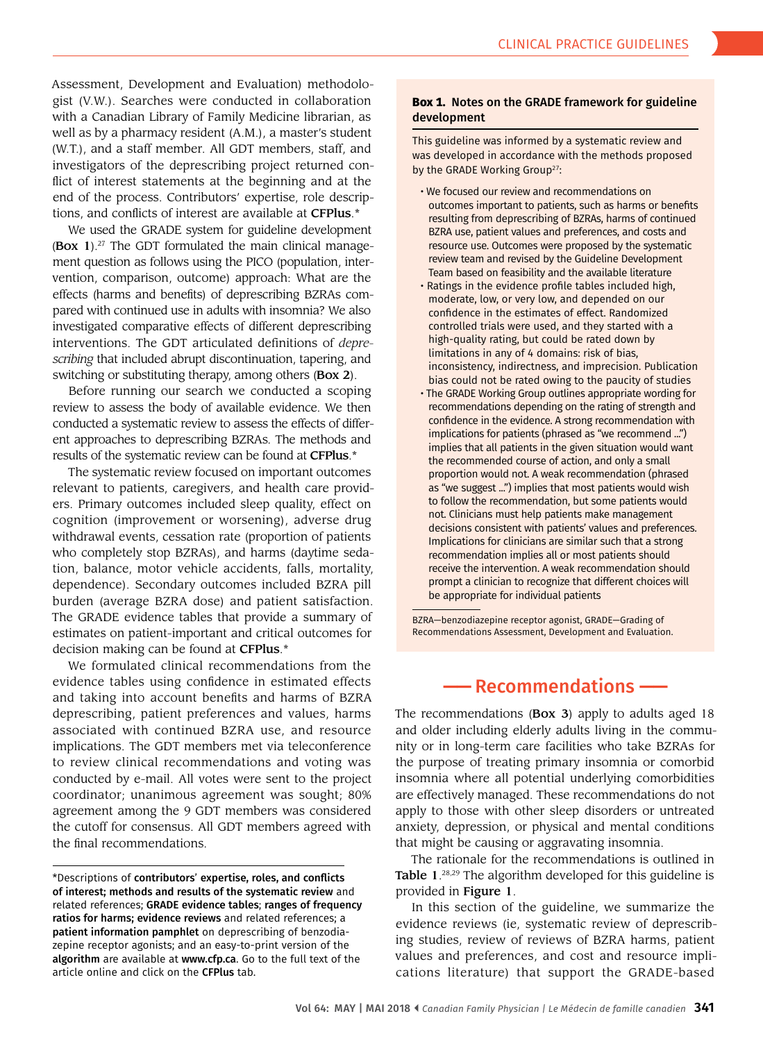Assessment, Development and Evaluation) methodolo gist (V.W.). Searches were conducted in collaboration with a Canadian Library of Family Medicine librarian, as well as by a pharmacy resident (A.M.), a master's student (W.T.), and a staff member. All GDT members, staff, and investigators of the deprescribing project returned con flict of interest statements at the beginning and at the end of the process. Contributors' expertise, role descrip tions, and conflicts of interest are available at CFPlus.\*

We used the GRADE system for guideline development **(Box 1)**.<sup>27</sup> The GDT formulated the main clinical management question as follows using the PICO (population, inter vention, comparison, outcome) approach: What are the effects (harms and benefits) of deprescribing BZRAs com pared with continued use in adults with insomnia? We also investigated comparative effects of different deprescribing interventions. The GDT articulated definitions of *depre scribing* that included abrupt discontinuation, tapering, and switching or substituting therapy, among others (Box 2).

Before running our search we conducted a scoping review to assess the body of available evidence. We then conducted a systematic review to assess the effects of differ ent approaches to deprescribing BZRAs. The methods and results of the systematic review can be found at CFPlus.\*

The systematic review focused on important outcomes relevant to patients, caregivers, and health care provid ers. Primary outcomes included sleep quality, effect on cognition (improvement or worsening), adverse drug withdrawal events, cessation rate (proportion of patients who completely stop BZRAs), and harms (daytime seda tion, balance, motor vehicle accidents, falls, mortality, dependence). Secondary outcomes included BZRA pill burden (average BZRA dose) and patient satisfaction. The GRADE evidence tables that provide a summary of estimates on patient-important and critical outcomes for decision making can be found at CFPlus.\*

We formulated clinical recommendations from the evidence tables using confidence in estimated effects and taking into account benefits and harms of BZRA deprescribing, patient preferences and values, harms associated with continued BZRA use, and resource implications. The GDT members met via teleconference to review clinical recommendations and voting was conducted by e-mail. All votes were sent to the project coordinator; unanimous agreement was sought; 80% agreement among the 9 GDT members was considered the cutoff for consensus. All GDT members agreed with the final recommendations.

#### **Box 1.** Notes on the GRADE framework for guideline development

This guideline was informed by a systematic review and was developed in accordance with the methods proposed by the GRADE Working Group<sup>27</sup>:

- We focused our review and recommendations on outcomes important to patients, such as harms or benefts resulting from deprescribing of BZRAs, harms of continued BZRA use, patient values and preferences, and costs and resource use. Outcomes were proposed by the systematic review team and revised by the Guideline Development Team based on feasibility and the available literature
- Ratings in the evidence profle tables included high, moderate, low, or very low, and depended on our confdence in the estimates of effect. Randomized controlled trials were used, and they started with a high-quality rating, but could be rated down by limitations in any of 4 domains: risk of bias, inconsistency, indirectness, and imprecision. Publication bias could not be rated owing to the paucity of studies
- The GRADE Working Group outlines appropriate wording for recommendations depending on the rating of strength and confdence in the evidence. A strong recommendation with implications for patients (phrased as "we recommend ...") implies that all patients in the given situation would want the recommended course of action, and only a small proportion would not. A weak recommendation (phrased as "we suggest ...") implies that most patients would wish to follow the recommendation, but some patients would not. Clinicians must help patients make management decisions consistent with patients' values and preferences. Implications for clinicians are similar such that a strong recommendation implies all or most patients should receive the intervention. A weak recommendation should prompt a clinician to recognize that different choices will be appropriate for individual patients

BZRA—benzodiazepine receptor agonist, GRADE—Grading of Recommendations Assessment, Development and Evaluation.

# **——** Recommendations **——**

The recommendations (**Box 3**) apply to adults aged 18 and older including elderly adults living in the commu nity or in long-term care facilities who take BZRAs for the purpose of treating primary insomnia or comorbid insomnia where all potential underlying comorbidities are effectively managed. These recommendations do not apply to those with other sleep disorders or untreated anxiety, depression, or physical and mental conditions that might be causing or aggravating insomnia.

The rationale for the recommendations is outlined in **Table 1.**<sup>28,29</sup> The algorithm developed for this guideline is provided in Figure 1.

In this section of the guideline, we summarize the evidence reviews (ie, systematic review of deprescrib ing studies, review of reviews of BZRA harms, patient values and preferences, and cost and resource impli cations literature) that support the GRADE-based

<sup>\*</sup>Descriptions of contributors' expertise, roles, and conficts of interest; methods and results of the systematic review and related references; GRADE evidence tables; ranges of frequency ratios for harms; evidence reviews and related references; a patient information pamphlet on deprescribing of benzodiazepine receptor agonists; and an easy-to-print version of the algorithm are available at www.cfp.ca. Go to the full text of the article online and click on the CFPlus tab.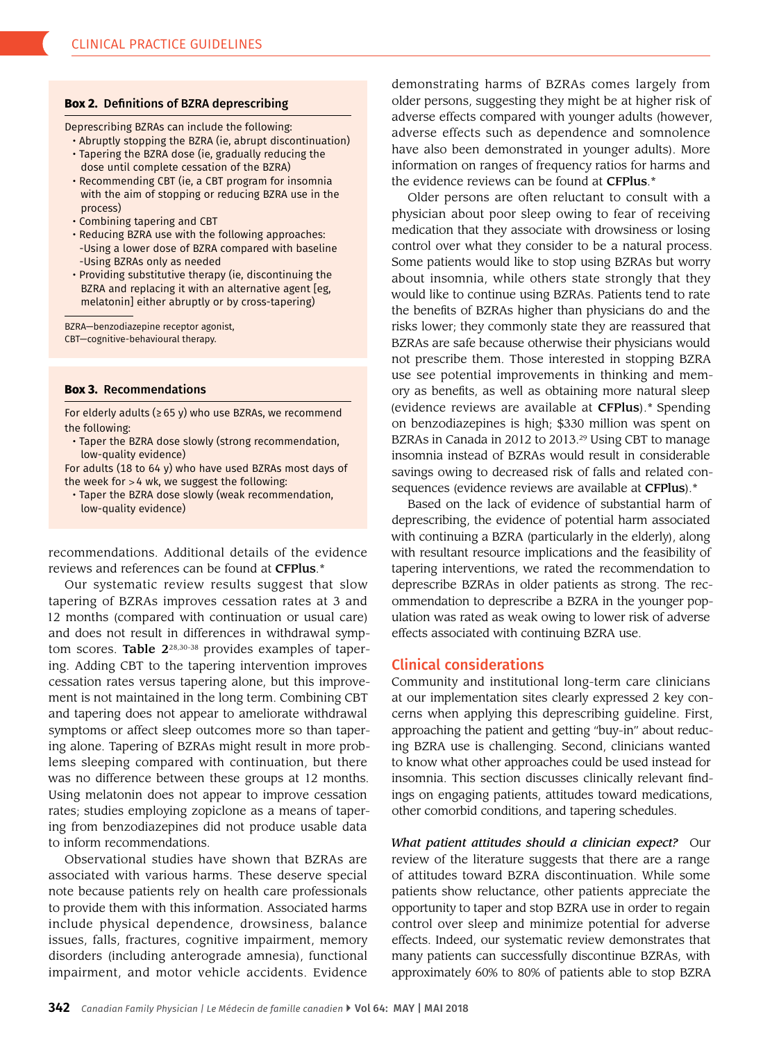#### **Box 2.** Defnitions of BZRA deprescribing

Deprescribing BZRAs can include the following:

- Abruptly stopping the BZRA (ie, abrupt discontinuation)
- Tapering the BZRA dose (ie, gradually reducing the dose until complete cessation of the BZRA)
- Recommending CBT (ie, a CBT program for insomnia with the aim of stopping or reducing BZRA use in the process)
- Combining tapering and CBT
- Reducing BZRA use with the following approaches: -Using a lower dose of BZRA compared with baseline -Using BZRAs only as needed
- Providing substitutive therapy (ie, discontinuing the BZRA and replacing it with an alternative agent [eg, melatonin] either abruptly or by cross-tapering)

BZRA—benzodiazepine receptor agonist, CBT—cognitive-behavioural therapy.

#### **Box 3.** Recommendations

For elderly adults ( $\geq 65$  y) who use BZRAs, we recommend the following:

• Taper the BZRA dose slowly (strong recommendation, low-quality evidence)

For adults (18 to 64 y) who have used BZRAs most days of the week for >4 wk, we suggest the following:

• Taper the BZRA dose slowly (weak recommendation, low-quality evidence)

recommendations. Additional details of the evidence reviews and references can be found at CFPlus.\*

Our systematic review results suggest that slow tapering of BZRAs improves cessation rates at 3 and 12 months (compared with continuation or usual care) and does not result in differences in withdrawal symp tom scores. **Table 2**<sup>28,30-38</sup> provides examples of tapering. Adding CBT to the tapering intervention improves cessation rates versus tapering alone, but this improve ment is not maintained in the long term. Combining CBT and tapering does not appear to ameliorate withdrawal symptoms or affect sleep outcomes more so than taper ing alone. Tapering of BZRAs might result in more prob lems sleeping compared with continuation, but there was no difference between these groups at 12 months. Using melatonin does not appear to improve cessation rates; studies employing zopiclone as a means of taper ing from benzodiazepines did not produce usable data to inform recommendations.

Observational studies have shown that BZRAs are associated with various harms. These deserve special note because patients rely on health care professionals to provide them with this information. Associated harms include physical dependence, drowsiness, balance issues, falls, fractures, cognitive impairment, memory disorders (including anterograde amnesia), functional impairment, and motor vehicle accidents. Evidence demonstrating harms of BZRAs comes largely from older persons, suggesting they might be at higher risk of adverse effects compared with younger adults (however, adverse effects such as dependence and somnolence have also been demonstrated in younger adults). More information on ranges of frequency ratios for harms and the evidence reviews can be found at CFPlus.\*

Older persons are often reluctant to consult with a physician about poor sleep owing to fear of receiving medication that they associate with drowsiness or losing control over what they consider to be a natural process. Some patients would like to stop using BZRAs but worry about insomnia, while others state strongly that they would like to continue using BZRAs. Patients tend to rate the benefits of BZRAs higher than physicians do and the risks lower; they commonly state they are reassured that BZRAs are safe because otherwise their physicians would not prescribe them. Those interested in stopping BZRA use see potential improvements in thinking and mem ory as benefits, as well as obtaining more natural sleep (evidence reviews are available at CFPlus).\* Spending on benzodiazepines is high; \$330 million was spent on BZRAs in Canada in 2012 to 2013.<sup>29</sup> Using CBT to manage insomnia instead of BZRAs would result in considerable savings owing to decreased risk of falls and related con sequences (evidence reviews are available at CFPlus).\*

Based on the lack of evidence of substantial harm of deprescribing, the evidence of potential harm associated with continuing a BZRA (particularly in the elderly), along with resultant resource implications and the feasibility of tapering interventions, we rated the recommendation to deprescribe BZRAs in older patients as strong. The rec ommendation to deprescribe a BZRA in the younger pop ulation was rated as weak owing to lower risk of adverse effects associated with continuing BZRA use.

## Clinical considerations

Community and institutional long-term care clinicians at our implementation sites clearly expressed 2 key con cerns when applying this deprescribing guideline. First, approaching the patient and getting "buy-in" about reduc ing BZRA use is challenging. Second, clinicians wanted to know what other approaches could be used instead for insomnia. This section discusses clinically relevant find ings on engaging patients, attitudes toward medications, other comorbid conditions, and tapering schedules.

 of attitudes toward BZRA discontinuation. While some *What patient attitudes should a clinician expect?* Our review of the literature suggests that there are a range patients show reluctance, other patients appreciate the opportunity to taper and stop BZRA use in order to regain control over sleep and minimize potential for adverse effects. Indeed, our systematic review demonstrates that many patients can successfully discontinue BZRAs, with approximately 60% to 80% of patients able to stop BZRA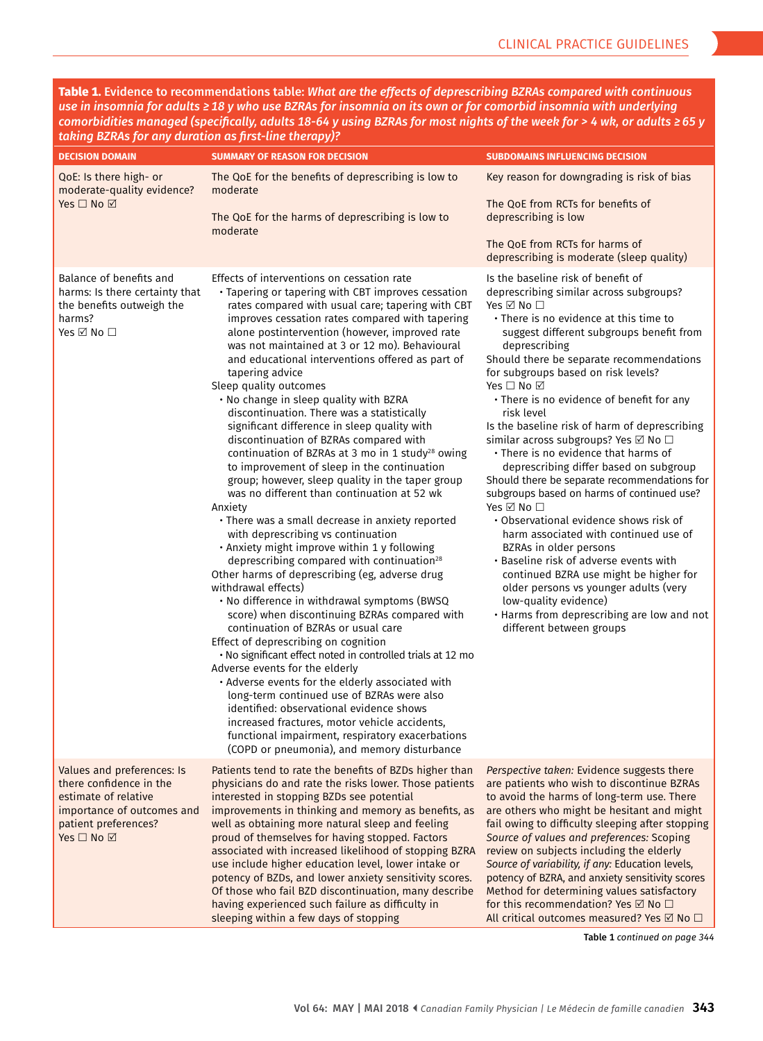**Table 1.** Evidence to recommendations table: *What are the effects of deprescribing BZRAs compared with continuous use in insomnia for adults ≥18 y who use BZRAs for insomnia on its own or for comorbid insomnia with underlying comorbidities managed (specifcally, adults 18-64 y using BZRAs for most nights of the week for > 4 wk, or adults ≥65 y taking BZRAs for any duration as frst-line therapy)?* 

| <b>DECISION DOMAIN</b>                                                                                                                            | <b>SUMMARY OF REASON FOR DECISION</b>                                                                                                                                                                                                                                                                                                                                                                                                                                                                                                                                                                                                                                                                                                                                                                                                                                                                                                                                                                                                                                                                                                                                                                                                                                                                                                                                                                                                                                                                                                                                                                                                                                                        | <b>SUBDOMAINS INFLUENCING DECISION</b>                                                                                                                                                                                                                                                                                                                                                                                                                                                                                                                                                                                                                                                                                                                                                                                                                                                                                                                                                                                                           |
|---------------------------------------------------------------------------------------------------------------------------------------------------|----------------------------------------------------------------------------------------------------------------------------------------------------------------------------------------------------------------------------------------------------------------------------------------------------------------------------------------------------------------------------------------------------------------------------------------------------------------------------------------------------------------------------------------------------------------------------------------------------------------------------------------------------------------------------------------------------------------------------------------------------------------------------------------------------------------------------------------------------------------------------------------------------------------------------------------------------------------------------------------------------------------------------------------------------------------------------------------------------------------------------------------------------------------------------------------------------------------------------------------------------------------------------------------------------------------------------------------------------------------------------------------------------------------------------------------------------------------------------------------------------------------------------------------------------------------------------------------------------------------------------------------------------------------------------------------------|--------------------------------------------------------------------------------------------------------------------------------------------------------------------------------------------------------------------------------------------------------------------------------------------------------------------------------------------------------------------------------------------------------------------------------------------------------------------------------------------------------------------------------------------------------------------------------------------------------------------------------------------------------------------------------------------------------------------------------------------------------------------------------------------------------------------------------------------------------------------------------------------------------------------------------------------------------------------------------------------------------------------------------------------------|
| QoE: Is there high- or<br>moderate-quality evidence?<br>Yes $\square$ No $\square$                                                                | The QoE for the benefits of deprescribing is low to<br>moderate<br>The QoE for the harms of deprescribing is low to<br>moderate                                                                                                                                                                                                                                                                                                                                                                                                                                                                                                                                                                                                                                                                                                                                                                                                                                                                                                                                                                                                                                                                                                                                                                                                                                                                                                                                                                                                                                                                                                                                                              | Key reason for downgrading is risk of bias<br>The QoE from RCTs for benefits of<br>deprescribing is low<br>The OoE from RCTs for harms of<br>deprescribing is moderate (sleep quality)                                                                                                                                                                                                                                                                                                                                                                                                                                                                                                                                                                                                                                                                                                                                                                                                                                                           |
| Balance of benefits and<br>harms: Is there certainty that<br>the benefits outweigh the<br>harms?<br>Yes ☑ No □                                    | Effects of interventions on cessation rate<br>• Tapering or tapering with CBT improves cessation<br>rates compared with usual care; tapering with CBT<br>improves cessation rates compared with tapering<br>alone postintervention (however, improved rate<br>was not maintained at 3 or 12 mo). Behavioural<br>and educational interventions offered as part of<br>tapering advice<br>Sleep quality outcomes<br>. No change in sleep quality with BZRA<br>discontinuation. There was a statistically<br>significant difference in sleep quality with<br>discontinuation of BZRAs compared with<br>continuation of BZRAs at 3 mo in 1 study <sup>28</sup> owing<br>to improvement of sleep in the continuation<br>group; however, sleep quality in the taper group<br>was no different than continuation at 52 wk<br>Anxiety<br>· There was a small decrease in anxiety reported<br>with deprescribing vs continuation<br>· Anxiety might improve within 1 y following<br>deprescribing compared with continuation <sup>28</sup><br>Other harms of deprescribing (eg, adverse drug<br>withdrawal effects)<br>• No difference in withdrawal symptoms (BWSQ<br>score) when discontinuing BZRAs compared with<br>continuation of BZRAs or usual care<br>Effect of deprescribing on cognition<br>. No significant effect noted in controlled trials at 12 mo<br>Adverse events for the elderly<br>. Adverse events for the elderly associated with<br>long-term continued use of BZRAs were also<br>identified: observational evidence shows<br>increased fractures, motor vehicle accidents,<br>functional impairment, respiratory exacerbations<br>(COPD or pneumonia), and memory disturbance | Is the baseline risk of benefit of<br>deprescribing similar across subgroups?<br>Yes $\boxtimes$ No $\Box$<br>• There is no evidence at this time to<br>suggest different subgroups benefit from<br>deprescribing<br>Should there be separate recommendations<br>for subgroups based on risk levels?<br>Yes $\square$ No $\square$<br>• There is no evidence of benefit for any<br>risk level<br>Is the baseline risk of harm of deprescribing<br>similar across subgroups? Yes $\boxtimes$ No $\Box$<br>. There is no evidence that harms of<br>deprescribing differ based on subgroup<br>Should there be separate recommendations for<br>subgroups based on harms of continued use?<br>Yes ☑ No □<br>• Observational evidence shows risk of<br>harm associated with continued use of<br>BZRAs in older persons<br>• Baseline risk of adverse events with<br>continued BZRA use might be higher for<br>older persons vs younger adults (very<br>low-quality evidence)<br>• Harms from deprescribing are low and not<br>different between groups |
| Values and preferences: Is<br>there confidence in the<br>estimate of relative<br>importance of outcomes and<br>patient preferences?<br>Yes □ No ☑ | Patients tend to rate the benefits of BZDs higher than<br>physicians do and rate the risks lower. Those patients<br>interested in stopping BZDs see potential<br>improvements in thinking and memory as benefits, as<br>well as obtaining more natural sleep and feeling<br>proud of themselves for having stopped. Factors<br>associated with increased likelihood of stopping BZRA<br>use include higher education level, lower intake or<br>potency of BZDs, and lower anxiety sensitivity scores.<br>Of those who fail BZD discontinuation, many describe<br>having experienced such failure as difficulty in<br>sleeping within a few days of stopping                                                                                                                                                                                                                                                                                                                                                                                                                                                                                                                                                                                                                                                                                                                                                                                                                                                                                                                                                                                                                                  | Perspective taken: Evidence suggests there<br>are patients who wish to discontinue BZRAs<br>to avoid the harms of long-term use. There<br>are others who might be hesitant and might<br>fail owing to difficulty sleeping after stopping<br>Source of values and preferences: Scoping<br>review on subjects including the elderly<br>Source of variability, if any: Education levels,<br>potency of BZRA, and anxiety sensitivity scores<br>Method for determining values satisfactory<br>for this recommendation? Yes $\boxtimes$ No $\Box$<br>All critical outcomes measured? Yes ⊠ No □                                                                                                                                                                                                                                                                                                                                                                                                                                                       |

Table 1 *continued on page 344*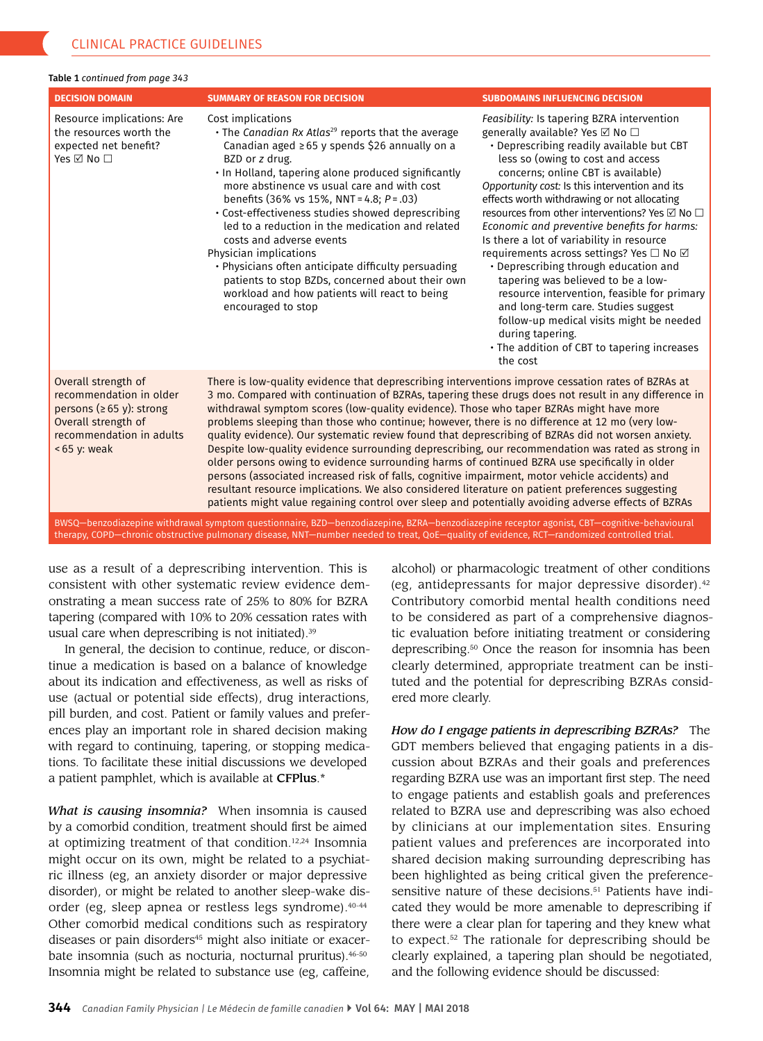#### Table 1 *continued from page 343*

| <b>DECISION DOMAIN</b>                                                                                                                             | <b>SUMMARY OF REASON FOR DECISION</b>                                                                                                                                                                                                                                                                                                                                                                                                                                                                                                                                                                                                                                                                                                                                                                                                                                                                                                                                                                                             | <b>SUBDOMAINS INFLUENCING DECISION</b>                                                                                                                                                                                                                                                                                                                                                                                                                                                                                                                                                                                                                                                                                                                                                           |  |  |
|----------------------------------------------------------------------------------------------------------------------------------------------------|-----------------------------------------------------------------------------------------------------------------------------------------------------------------------------------------------------------------------------------------------------------------------------------------------------------------------------------------------------------------------------------------------------------------------------------------------------------------------------------------------------------------------------------------------------------------------------------------------------------------------------------------------------------------------------------------------------------------------------------------------------------------------------------------------------------------------------------------------------------------------------------------------------------------------------------------------------------------------------------------------------------------------------------|--------------------------------------------------------------------------------------------------------------------------------------------------------------------------------------------------------------------------------------------------------------------------------------------------------------------------------------------------------------------------------------------------------------------------------------------------------------------------------------------------------------------------------------------------------------------------------------------------------------------------------------------------------------------------------------------------------------------------------------------------------------------------------------------------|--|--|
| Resource implications: Are<br>the resources worth the<br>expected net benefit?<br>Yes ☑ No □                                                       | Cost implications<br>$\cdot$ The Canadian Rx Atlas <sup>29</sup> reports that the average<br>Canadian aged $\geq 65$ y spends \$26 annually on a<br>BZD or z drug.<br>. In Holland, tapering alone produced significantly<br>more abstinence vs usual care and with cost<br>benefits $(36\% \text{ vs } 15\%, \text{ NNT} = 4.8; P = .03)$<br>• Cost-effectiveness studies showed deprescribing<br>led to a reduction in the medication and related<br>costs and adverse events<br>Physician implications<br>• Physicians often anticipate difficulty persuading<br>patients to stop BZDs, concerned about their own<br>workload and how patients will react to being<br>encouraged to stop                                                                                                                                                                                                                                                                                                                                       | Feasibility: Is tapering BZRA intervention<br>generally available? Yes ⊠ No □<br>• Deprescribing readily available but CBT<br>less so (owing to cost and access<br>concerns; online CBT is available)<br>Opportunity cost: Is this intervention and its<br>effects worth withdrawing or not allocating<br>resources from other interventions? Yes ⊠ No □<br>Economic and preventive benefits for harms:<br>Is there a lot of variability in resource<br>requirements across settings? Yes □ No ☑<br>• Deprescribing through education and<br>tapering was believed to be a low-<br>resource intervention, feasible for primary<br>and long-term care. Studies suggest<br>follow-up medical visits might be needed<br>during tapering.<br>• The addition of CBT to tapering increases<br>the cost |  |  |
| Overall strength of<br>recommendation in older<br>persons ( $\geq 65$ y): strong<br>Overall strength of<br>recommendation in adults<br><65 y: weak | There is low-quality evidence that deprescribing interventions improve cessation rates of BZRAs at<br>3 mo. Compared with continuation of BZRAs, tapering these drugs does not result in any difference in<br>withdrawal symptom scores (low-quality evidence). Those who taper BZRAs might have more<br>problems sleeping than those who continue; however, there is no difference at 12 mo (very low-<br>quality evidence). Our systematic review found that deprescribing of BZRAs did not worsen anxiety.<br>Despite low-quality evidence surrounding deprescribing, our recommendation was rated as strong in<br>older persons owing to evidence surrounding harms of continued BZRA use specifically in older<br>persons (associated increased risk of falls, cognitive impairment, motor vehicle accidents) and<br>resultant resource implications. We also considered literature on patient preferences suggesting<br>patients might value regaining control over sleep and potentially avoiding adverse effects of BZRAs |                                                                                                                                                                                                                                                                                                                                                                                                                                                                                                                                                                                                                                                                                                                                                                                                  |  |  |
| BWSQ-benzodiazepine withdrawal symptom questionnaire, BZD-benzodiazepine, BZRA-benzodiazepine receptor agonist, CBT-cognitive-behavioural          |                                                                                                                                                                                                                                                                                                                                                                                                                                                                                                                                                                                                                                                                                                                                                                                                                                                                                                                                                                                                                                   |                                                                                                                                                                                                                                                                                                                                                                                                                                                                                                                                                                                                                                                                                                                                                                                                  |  |  |

therapy, COPD—chronic obstructive pulmonary disease, NNT—number needed to treat, QoE—quality of evidence, RCT—randomized controlled trial.

use as a result of a deprescribing intervention. This is consistent with other systematic review evidence dem onstrating a mean success rate of 25% to 80% for BZRA tapering (compared with 10% to 20% cessation rates with usual care when deprescribing is not initiated).<sup>39</sup>

In general, the decision to continue, reduce, or discon tinue a medication is based on a balance of knowledge about its indication and effectiveness, as well as risks of use (actual or potential side effects), drug interactions, pill burden, and cost. Patient or family values and prefer ences play an important role in shared decision making with regard to continuing, tapering, or stopping medica tions. To facilitate these initial discussions we developed a patient pamphlet, which is available at CFPlus.\*

*What is causing insomnia?* When insomnia is caused by a comorbid condition, treatment should first be aimed at optimizing treatment of that condition.<sup>12,24</sup> Insomnia might occur on its own, might be related to a psychiat ric illness (eg, an anxiety disorder or major depressive disorder), or might be related to another sleep-wake dis order (eg, sleep apnea or restless legs syndrome).<sup>40-44</sup> Other comorbid medical conditions such as respiratory diseases or pain disorders<sup>45</sup> might also initiate or exacerbate insomnia (such as nocturia, nocturnal pruritus).<sup>46-50</sup> Insomnia might be related to substance use (eg, caffeine, alcohol) or pharmacologic treatment of other conditions (eg, antidepressants for major depressive disorder).<sup>42</sup> Contributory comorbid mental health conditions need to be considered as part of a comprehensive diagnos tic evaluation before initiating treatment or considering deprescribing.50 Once the reason for insomnia has been clearly determined, appropriate treatment can be insti tuted and the potential for deprescribing BZRAs consid ered more clearly.

*How do I engage patients in deprescribing BZRAs?* The GDT members believed that engaging patients in a dis cussion about BZRAs and their goals and preferences regarding BZRA use was an important first step. The need to engage patients and establish goals and preferences related to BZRA use and deprescribing was also echoed by clinicians at our implementation sites. Ensuring patient values and preferences are incorporated into shared decision making surrounding deprescribing has been highlighted as being critical given the preferencesensitive nature of these decisions.<sup>51</sup> Patients have indicated they would be more amenable to deprescribing if there were a clear plan for tapering and they knew what to expect.52 The rationale for deprescribing should be clearly explained, a tapering plan should be negotiated, and the following evidence should be discussed: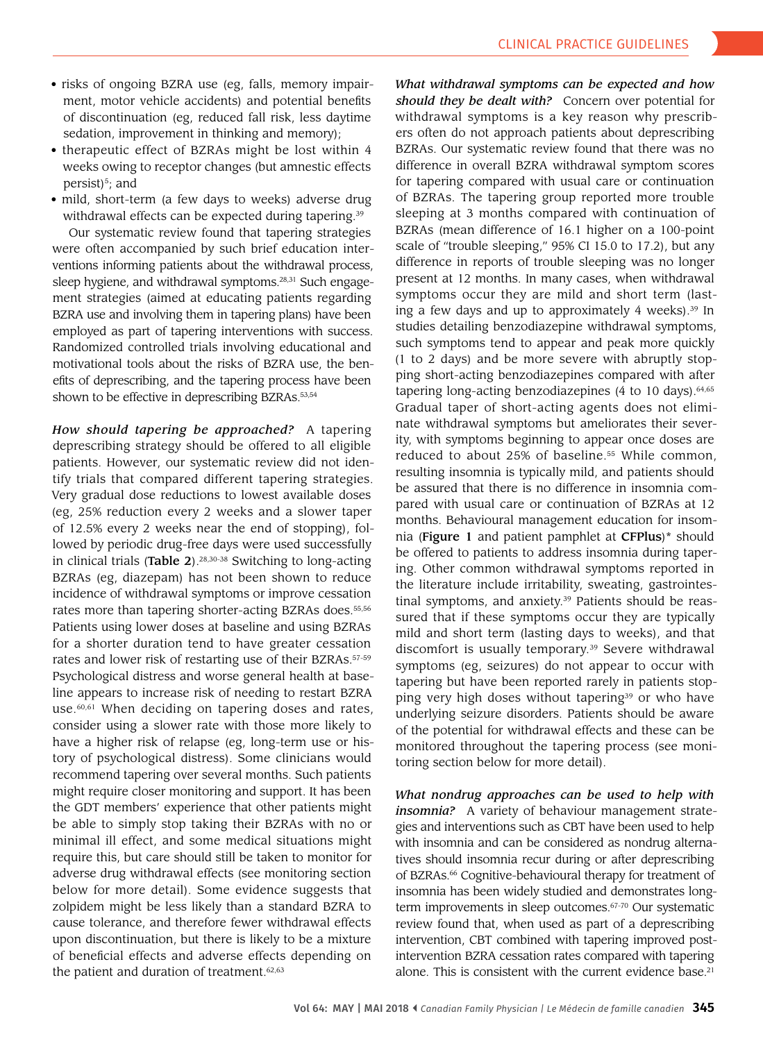- risks of ongoing BZRA use (eg, falls, memory impair ment, motor vehicle accidents) and potential benefits of discontinuation (eg, reduced fall risk, less daytime sedation, improvement in thinking and memory);
- therapeutic effect of BZRAs might be lost within 4 weeks owing to receptor changes (but amnestic effects persist $5$ ; and
- mild, short-term (a few days to weeks) adverse drug withdrawal effects can be expected during tapering. 39

Our systematic review found that tapering strategies were often accompanied by such brief education inter ventions informing patients about the withdrawal process, sleep hygiene, and withdrawal symptoms.28,31 Such engage ment strategies (aimed at educating patients regarding BZRA use and involving them in tapering plans) have been employed as part of tapering interventions with success. Randomized controlled trials involving educational and motivational tools about the risks of BZRA use, the ben efits of deprescribing, and the tapering process have been shown to be effective in deprescribing BZRAs.53,54

*How should tapering be approached?* A tapering deprescribing strategy should be offered to all eligible patients. However, our systematic review did not iden tify trials that compared different tapering strategies. Very gradual dose reductions to lowest available doses (eg, 25% reduction every 2 weeks and a slower taper of 12.5% every 2 weeks near the end of stopping), fol lowed by periodic drug-free days were used successfully in clinical trials (Table 2). $28,30-38$  Switching to long-acting BZRAs (eg, diazepam) has not been shown to reduce incidence of withdrawal symptoms or improve cessation rates more than tapering shorter-acting BZRAs does.<sup>55,56</sup> Patients using lower doses at baseline and using BZRAs for a shorter duration tend to have greater cessation rates and lower risk of restarting use of their BZRAs.57-59 Psychological distress and worse general health at base line appears to increase risk of needing to restart BZRA use.<sup>60,61</sup> When deciding on tapering doses and rates, consider using a slower rate with those more likely to have a higher risk of relapse (eg, long-term use or his tory of psychological distress). Some clinicians would recommend tapering over several months. Such patients might require closer monitoring and support. It has been the GDT members' experience that other patients might be able to simply stop taking their BZRAs with no or minimal ill effect, and some medical situations might require this, but care should still be taken to monitor for adverse drug withdrawal effects (see monitoring section below for more detail). Some evidence suggests that zolpidem might be less likely than a standard BZRA to cause tolerance, and therefore fewer withdrawal effects upon discontinuation, but there is likely to be a mixture of beneficial effects and adverse effects depending on the patient and duration of treatment.<sup>62,63</sup>

*What withdrawal symptoms can be expected and how should they be dealt with?* Concern over potential for withdrawal symptoms is a key reason why prescrib ers often do not approach patients about deprescribing BZRAs. Our systematic review found that there was no difference in overall BZRA withdrawal symptom scores for tapering compared with usual care or continuation of BZRAs. The tapering group reported more trouble sleeping at 3 months compared with continuation of BZRAs (mean difference of 16.1 higher on a 100-point scale of "trouble sleeping," 95% CI 15.0 to 17.2), but any difference in reports of trouble sleeping was no longer present at 12 months. In many cases, when withdrawal symptoms occur they are mild and short term (last ing a few days and up to approximately 4 weeks). $39$  In studies detailing benzodiazepine withdrawal symptoms, such symptoms tend to appear and peak more quickly (1 to 2 days) and be more severe with abruptly stop ping short-acting benzodiazepines compared with after tapering long-acting benzodiazepines  $(4 \text{ to } 10 \text{ days})$ .  $64,65$ Gradual taper of short-acting agents does not elimi nate withdrawal symptoms but ameliorates their sever ity, with symptoms beginning to appear once doses are reduced to about 25% of baseline.<sup>55</sup> While common, resulting insomnia is typically mild, and patients should be assured that there is no difference in insomnia compared with usual care or continuation of BZRAs at 12 months. Behavioural management education for insom nia (Figure 1 and patient pamphlet at CFPlus)\* should be offered to patients to address insomnia during tapering. Other common withdrawal symptoms reported in the literature include irritability, sweating, gastrointes tinal symptoms, and anxiety.<sup>39</sup> Patients should be reassured that if these symptoms occur they are typically mild and short term (lasting days to weeks), and that discomfort is usually temporary.39 Severe withdrawal symptoms (eg, seizures) do not appear to occur with tapering but have been reported rarely in patients stop ping very high doses without tapering<sup>39</sup> or who have underlying seizure disorders. Patients should be aware of the potential for withdrawal effects and these can be monitored throughout the tapering process (see moni toring section below for more detail).

*What nondrug approaches can be used to help with insomnia?* A variety of behaviour management strate gies and interventions such as CBT have been used to help with insomnia and can be considered as nondrug alterna tives should insomnia recur during or after deprescribing of BZRAs.<sup>66</sup> Cognitive-behavioural therapy for treatment of insomnia has been widely studied and demonstrates long term improvements in sleep outcomes.67-70 Our systematic review found that, when used as part of a deprescribing intervention, CBT combined with tapering improved post intervention BZRA cessation rates compared with tapering alone. This is consistent with the current evidence base.<sup>21</sup>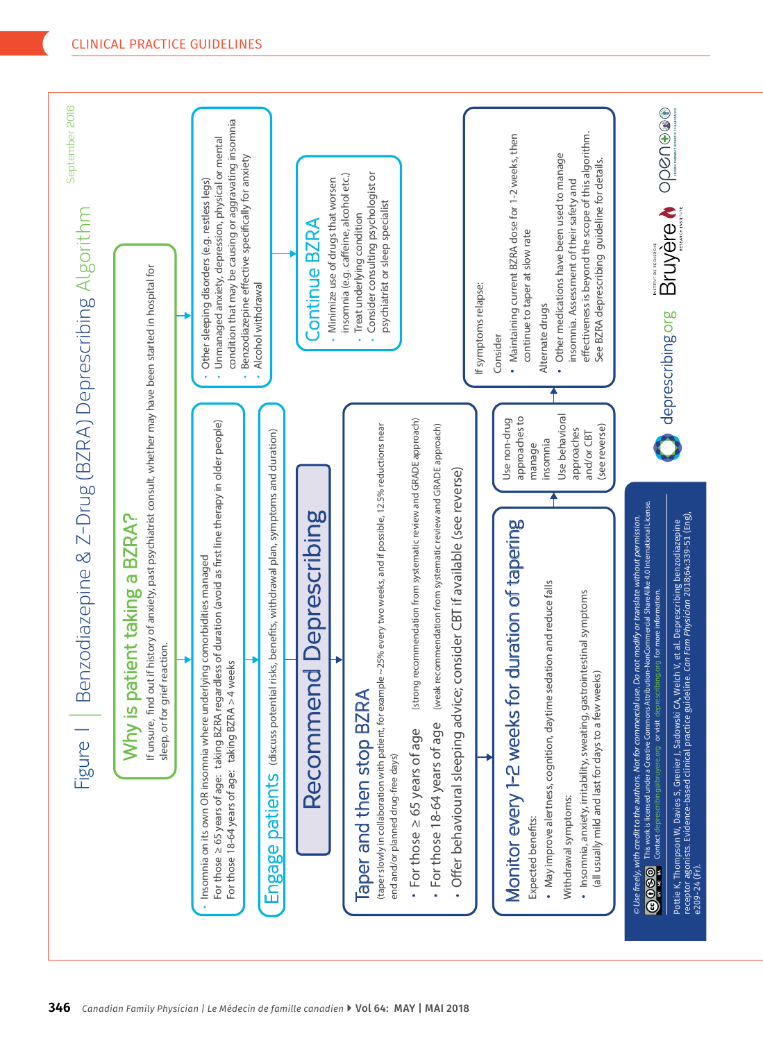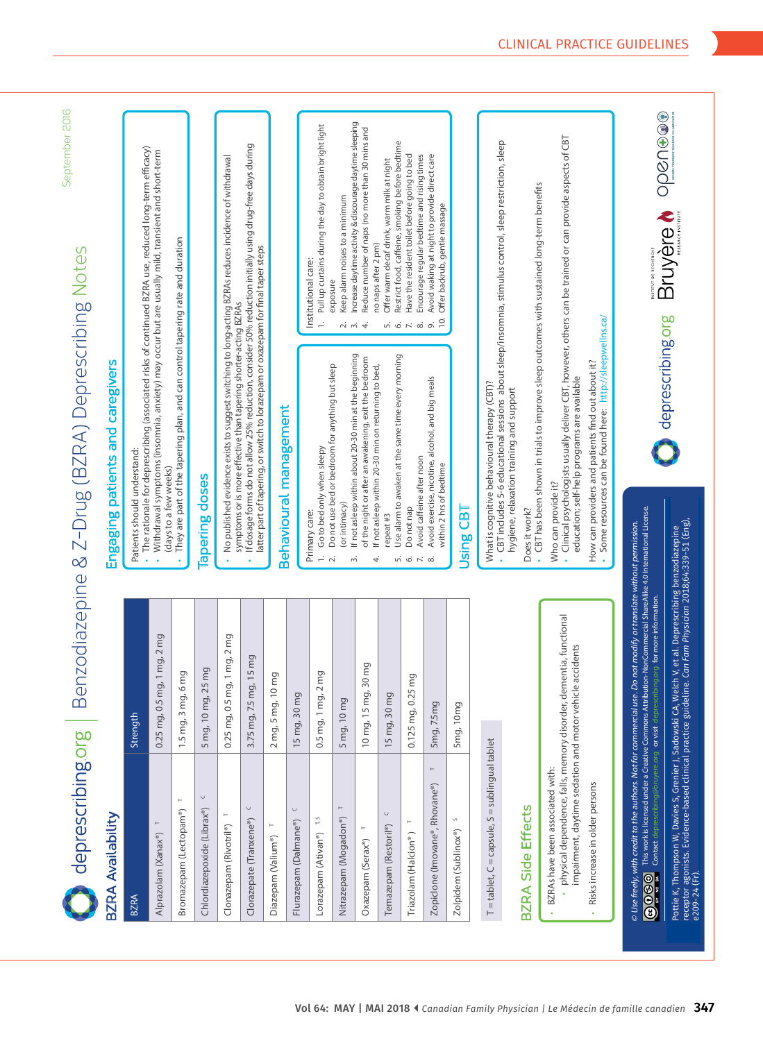| deprescribing.org                                                                                                                                                                                                                       | $\mathbf{w}$                                                                                                                                         | September 2016<br>enzodiazepine & Z-Drug (BZRA) Deprescribing Notes                                                                                                                                                                                                                                                                                                                         |
|-----------------------------------------------------------------------------------------------------------------------------------------------------------------------------------------------------------------------------------------|------------------------------------------------------------------------------------------------------------------------------------------------------|---------------------------------------------------------------------------------------------------------------------------------------------------------------------------------------------------------------------------------------------------------------------------------------------------------------------------------------------------------------------------------------------|
| BZRA Availability                                                                                                                                                                                                                       |                                                                                                                                                      | Engaging patients and caregivers                                                                                                                                                                                                                                                                                                                                                            |
| <b>BZRA</b>                                                                                                                                                                                                                             | Strength                                                                                                                                             | The rationale for deprescribing (associated risks of continued BZRA use, reduced long-term efficacy)<br>Patients should understand:                                                                                                                                                                                                                                                         |
| Alprazolam (Xanax®)                                                                                                                                                                                                                     | mg, 1 mg, 2 mg<br>0.25 mg, 0.5                                                                                                                       | Withdrawal symptoms (insomnia, anxiety) may occur but are usually mild, transient and short-term<br>(days to a few weeks)                                                                                                                                                                                                                                                                   |
| $\longmapsto$<br>Bromazepam (Lectopam®)                                                                                                                                                                                                 | 1.5 mg, 3 mg, 6 mg                                                                                                                                   | They are part of the tapering plan, and can control tapering rate and duration                                                                                                                                                                                                                                                                                                              |
| $\cup$<br>Chlordiazepoxide (Librax®)                                                                                                                                                                                                    | 5 mg, 10 mg, 25 mg                                                                                                                                   | lapering doses                                                                                                                                                                                                                                                                                                                                                                              |
| Clonazepam (Rivotril <sup>®</sup> )                                                                                                                                                                                                     | mg, 1 mg, 2 mg<br>0.25 mg, 0.5                                                                                                                       | No published evidence exists to suggest switching to long-acting BZRAs reduces incidence of withdrawal<br>symptoms or is more effective than tapering shorter-acting BZRAs                                                                                                                                                                                                                  |
| $\cup$<br>Clorazepate (Tranxene®)                                                                                                                                                                                                       | mg, 15 mg<br>3.75 mg, 7.5                                                                                                                            | If dosage forms do not allow 25% reduction, consider 50% reduction initially using drug-free days during<br>latter part of tapering, or switch to lorazepam or oxazepam for final taper steps                                                                                                                                                                                               |
| Diazepam (Valium <sup>®</sup> )                                                                                                                                                                                                         | 10 <sub>mg</sub><br>$2$ mg, 5 mg,                                                                                                                    | Behavioural management                                                                                                                                                                                                                                                                                                                                                                      |
| $\cup$<br>Flurazepam (Dalmane®)                                                                                                                                                                                                         | 30 mg<br>15 mg,                                                                                                                                      |                                                                                                                                                                                                                                                                                                                                                                                             |
| r,s<br>Lorazepam (Ativan <sup>®</sup> )                                                                                                                                                                                                 | g, 2 mg<br>$0.5$ mg, 1 m                                                                                                                             | Pull up curtains during the day to obtain bright light<br>Institutional care:<br>Go to bed only when sleepy<br>Primary care:<br>$\div$                                                                                                                                                                                                                                                      |
| $\vdash$<br>Nitrazepam (Mogadon®)                                                                                                                                                                                                       | 5 mg, 10 mg                                                                                                                                          | Increase daytime activity & discourage daytime sleeping<br>Keep alarm noises to a minimum<br>exposure<br>റിന്<br>If not asleep within about 20-30 min at the beginning<br>Do not use bed or bedroom for anything but sleep<br>(or intimacy)<br>$\sim$<br>m                                                                                                                                  |
| Oxazepam (Serax <sup>®</sup> )                                                                                                                                                                                                          | 10 mg, 15 mg, 30 mg                                                                                                                                  | Reduce number of naps (no more than 30 mins and<br>no naps after 2 pm)<br>4.<br>of the night or after an awakening, exit the bedroom<br>If not asleep within 20-30 min on returning to bed,<br>4.                                                                                                                                                                                           |
| $\cup$<br>Temazepam (Restoril <sup>®</sup> )                                                                                                                                                                                            | $\overline{\mathsf{C}}$<br>15 mg, 30 m                                                                                                               | Restrict food, caffeine, smoking before bedtime<br>Offer warm decaf drink, warm milk at night<br>Use alarm to awaken at the same time every morning<br>repeat #3                                                                                                                                                                                                                            |
| Triazolam (Halcion <sup>®</sup> )                                                                                                                                                                                                       | 0.125 mg, 0.25 mg                                                                                                                                    | Have the resident toilet before going to bed<br>Encourage regular bedtime and rising times<br>$n \circ n \circ n$<br>Avoid caffeine after noon<br>Do not nap<br>5650                                                                                                                                                                                                                        |
| $\vdash$<br>Zopiclone (Imovane®, Rhovane®)                                                                                                                                                                                              | 5mg, 7.5mg                                                                                                                                           | Avoid waking at night to provide direct care<br>Offer backrub, gentle massage<br>10.<br>Avoid exercise, nicotine, alcohol, and big meals<br>within 2 hrs of bedtime                                                                                                                                                                                                                         |
| Zolpidem (Sublinox®)                                                                                                                                                                                                                    | 5mg, 10mg                                                                                                                                            | БJ<br>Using                                                                                                                                                                                                                                                                                                                                                                                 |
| = tablet, C = capsule, S = sublingual tablet<br>$\vdash$                                                                                                                                                                                |                                                                                                                                                      | What is cognitive behavioural therapy (CBT)?                                                                                                                                                                                                                                                                                                                                                |
| BZRA Side Effects                                                                                                                                                                                                                       |                                                                                                                                                      | CBT includes 5-6 educational sessions about sleep/insomnia, stimulus control, sleep restriction, sleep<br>hygiene, relaxation training and support<br>Does it work?                                                                                                                                                                                                                         |
| impairment, daytime sedation and motor vehicle accidents<br>· physical dependence, falls, memory disorder,<br>BZRAs have been associated with:<br>Risks increase in older persons                                                       | dementia, functional                                                                                                                                 | Clinical psychologists usually deliver CBT, however, others can be trained or can provide aspects of CBT<br>CBT has been shown in trials to improve sleep outcomes with sustained long-term benefits<br>Some resources can be found here: http://sleepwellns.ca/<br>How can providers and patients find out about it?<br>education; self-help programs are available<br>Who can provide it? |
| $\odot$ Use freely, with credit to the authors. Not for commercial us<br>This work is licensed under a Creative Commons Attr<br>Contact deprescribing@bruyere.org or visit depre-<br>880                                                | ibution-NonCommercial ShareAlike 4.0 International License.<br>e. Do not modify or translate without permission.<br>ribing.org for more information. |                                                                                                                                                                                                                                                                                                                                                                                             |
| Pottie K, Thompson W, Davies S, Grenier J, Sadowski CA, Welch V, et al. Deprescribing benzodiazepine<br>receptor agonists. Evidence-based clinical practice guideline. <i>Can Fam Physician 2018;64:339-51 (Eng)</i> ,<br>e209-24 (Fr). |                                                                                                                                                      | Bruyère boognes<br>deprescribing.org                                                                                                                                                                                                                                                                                                                                                        |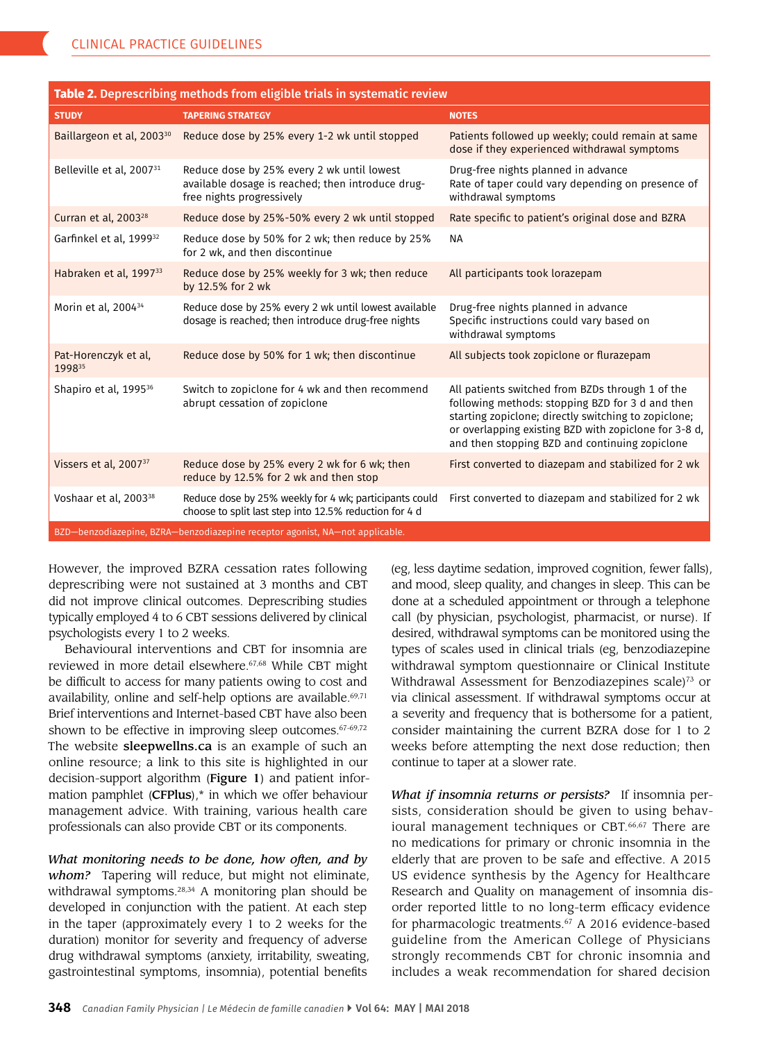| Table 2. Deprescribing methods from eligible trials in systematic review     |                                                                                                                              |                                                                                                                                                                                                                                                                         |  |  |
|------------------------------------------------------------------------------|------------------------------------------------------------------------------------------------------------------------------|-------------------------------------------------------------------------------------------------------------------------------------------------------------------------------------------------------------------------------------------------------------------------|--|--|
| <b>STUDY</b>                                                                 | <b>TAPERING STRATEGY</b>                                                                                                     | <b>NOTES</b>                                                                                                                                                                                                                                                            |  |  |
| Baillargeon et al, 2003 <sup>30</sup>                                        | Reduce dose by 25% every 1-2 wk until stopped                                                                                | Patients followed up weekly; could remain at same<br>dose if they experienced withdrawal symptoms                                                                                                                                                                       |  |  |
| Belleville et al, 2007 <sup>31</sup>                                         | Reduce dose by 25% every 2 wk until lowest<br>available dosage is reached; then introduce drug-<br>free nights progressively | Drug-free nights planned in advance<br>Rate of taper could vary depending on presence of<br>withdrawal symptoms                                                                                                                                                         |  |  |
| Curran et al, 2003 <sup>28</sup>                                             | Reduce dose by 25%-50% every 2 wk until stopped                                                                              | Rate specific to patient's original dose and BZRA                                                                                                                                                                                                                       |  |  |
| Garfinkel et al, 1999 <sup>32</sup>                                          | Reduce dose by 50% for 2 wk; then reduce by 25%<br>for 2 wk, and then discontinue                                            | <b>NA</b>                                                                                                                                                                                                                                                               |  |  |
| Habraken et al, 1997 <sup>33</sup>                                           | Reduce dose by 25% weekly for 3 wk; then reduce<br>by 12.5% for 2 wk                                                         | All participants took lorazepam                                                                                                                                                                                                                                         |  |  |
| Morin et al, 2004 <sup>34</sup>                                              | Reduce dose by 25% every 2 wk until lowest available<br>dosage is reached; then introduce drug-free nights                   | Drug-free nights planned in advance<br>Specific instructions could vary based on<br>withdrawal symptoms                                                                                                                                                                 |  |  |
| Pat-Horenczyk et al,<br>199835                                               | Reduce dose by 50% for 1 wk; then discontinue                                                                                | All subjects took zopiclone or flurazepam                                                                                                                                                                                                                               |  |  |
| Shapiro et al, 1995 <sup>36</sup>                                            | Switch to zopiclone for 4 wk and then recommend<br>abrupt cessation of zopiclone                                             | All patients switched from BZDs through 1 of the<br>following methods: stopping BZD for 3 d and then<br>starting zopiclone; directly switching to zopiclone;<br>or overlapping existing BZD with zopiclone for 3-8 d,<br>and then stopping BZD and continuing zopiclone |  |  |
| Vissers et al, 2007 <sup>37</sup>                                            | Reduce dose by 25% every 2 wk for 6 wk; then<br>reduce by 12.5% for 2 wk and then stop                                       | First converted to diazepam and stabilized for 2 wk                                                                                                                                                                                                                     |  |  |
| Voshaar et al, 2003 <sup>38</sup>                                            | Reduce dose by 25% weekly for 4 wk; participants could<br>choose to split last step into 12.5% reduction for 4 d             | First converted to diazepam and stabilized for 2 wk                                                                                                                                                                                                                     |  |  |
| BZD-benzodiazepine, BZRA-benzodiazepine receptor agonist, NA-not applicable. |                                                                                                                              |                                                                                                                                                                                                                                                                         |  |  |

However, the improved BZRA cessation rates following deprescribing were not sustained at 3 months and CBT did not improve clinical outcomes. Deprescribing studies typically employed 4 to 6 CBT sessions delivered by clinical psychologists every 1 to 2 weeks.

Behavioural interventions and CBT for insomnia are reviewed in more detail elsewhere.<sup>67,68</sup> While CBT might be difficult to access for many patients owing to cost and availability, online and self-help options are available.<sup>69,71</sup> Brief interventions and Internet-based CBT have also been shown to be effective in improving sleep outcomes.<sup>67-69,72</sup> The website sleepwellns.ca is an example of such an online resource; a link to this site is highlighted in our decision-support algorithm (**Figure 1**) and patient information pamphlet (CFPlus),\* in which we offer behaviour management advice. With training, various health care professionals can also provide CBT or its components.

*What monitoring needs to be done, how often, and by whom?* Tapering will reduce, but might not eliminate, withdrawal symptoms.<sup>28,34</sup> A monitoring plan should be developed in conjunction with the patient. At each step in the taper (approximately every 1 to 2 weeks for the duration) monitor for severity and frequency of adverse drug withdrawal symptoms (anxiety, irritability, sweating, gastrointestinal symptoms, insomnia), potential benefits

(eg, less daytime sedation, improved cognition, fewer falls), and mood, sleep quality, and changes in sleep. This can be done at a scheduled appointment or through a telephone call (by physician, psychologist, pharmacist, or nurse). If desired, withdrawal symptoms can be monitored using the types of scales used in clinical trials (eg, benzodiazepine withdrawal symptom questionnaire or Clinical Institute Withdrawal Assessment for Benzodiazepines scale)<sup>73</sup> or via clinical assessment. If withdrawal symptoms occur at a severity and frequency that is bothersome for a patient, consider maintaining the current BZRA dose for 1 to 2 weeks before attempting the next dose reduction; then continue to taper at a slower rate.

*What if insomnia returns or persists?* If insomnia per sists, consideration should be given to using behav ioural management techniques or CBT.<sup>66,67</sup> There are no medications for primary or chronic insomnia in the elderly that are proven to be safe and effective. A 2015 US evidence synthesis by the Agency for Healthcare Research and Quality on management of insomnia dis order reported little to no long-term efficacy evidence for pharmacologic treatments.<sup>67</sup> A 2016 evidence-based guideline from the American College of Physicians strongly recommends CBT for chronic insomnia and includes a weak recommendation for shared decision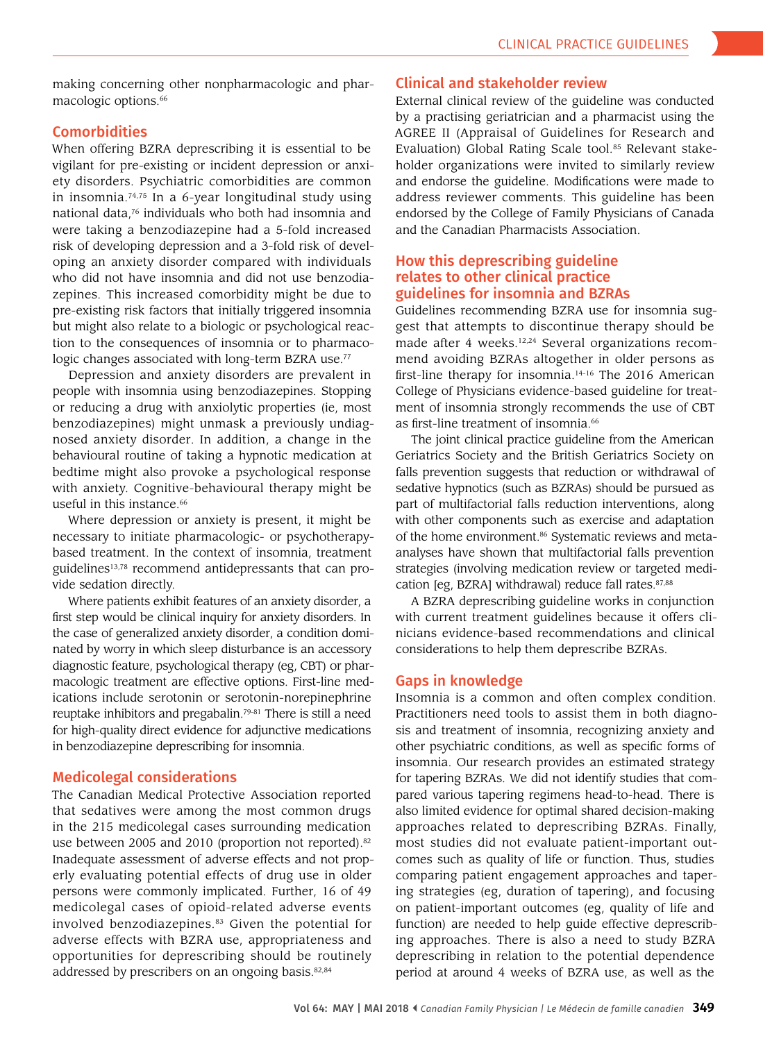making concerning other nonpharmacologic and phar macologic options.<sup>66</sup>

## **Comorbidities**

When offering BZRA deprescribing it is essential to be vigilant for pre-existing or incident depression or anxi ety disorders. Psychiatric comorbidities are common in insomnia.74,75 In a 6-year longitudinal study using national data,76 individuals who both had insomnia and were taking a benzodiazepine had a 5-fold increased risk of developing depression and a 3-fold risk of devel oping an anxiety disorder compared with individuals who did not have insomnia and did not use benzodiazepines. This increased comorbidity might be due to pre-existing risk factors that initially triggered insomnia but might also relate to a biologic or psychological reac tion to the consequences of insomnia or to pharmaco logic changes associated with long-term BZRA use.<sup>77</sup>

Depression and anxiety disorders are prevalent in people with insomnia using benzodiazepines. Stopping or reducing a drug with anxiolytic properties (ie, most benzodiazepines) might unmask a previously undiag nosed anxiety disorder. In addition, a change in the behavioural routine of taking a hypnotic medication at bedtime might also provoke a psychological response with anxiety. Cognitive-behavioural therapy might be useful in this instance. $66$ 

Where depression or anxiety is present, it might be necessary to initiate pharmacologic- or psychotherapy based treatment. In the context of insomnia, treatment guidelines13,78 recommend antidepressants that can pro vide sedation directly.

Where patients exhibit features of an anxiety disorder, a first step would be clinical inquiry for anxiety disorders. In the case of generalized anxiety disorder, a condition domi nated by worry in which sleep disturbance is an accessory diagnostic feature, psychological therapy (eg, CBT) or phar macologic treatment are effective options. First-line med ications include serotonin or serotonin-norepinephrine reuptake inhibitors and pregabalin.79-81 There is still a need for high-quality direct evidence for adjunctive medications in benzodiazepine deprescribing for insomnia.

## Medicolegal considerations

The Canadian Medical Protective Association reported that sedatives were among the most common drugs in the 215 medicolegal cases surrounding medication use between 2005 and 2010 (proportion not reported).<sup>82</sup> Inadequate assessment of adverse effects and not prop erly evaluating potential effects of drug use in older persons were commonly implicated. Further, 16 of 49 medicolegal cases of opioid-related adverse events involved benzodiazepines.<sup>83</sup> Given the potential for adverse effects with BZRA use, appropriateness and opportunities for deprescribing should be routinely addressed by prescribers on an ongoing basis.<sup>82,84</sup>

### Clinical and stakeholder review

External clinical review of the guideline was conducted by a practising geriatrician and a pharmacist using the AGREE II (Appraisal of Guidelines for Research and Evaluation) Global Rating Scale tool.<sup>85</sup> Relevant stakeholder organizations were invited to similarly review and endorse the guideline. Modifications were made to address reviewer comments. This guideline has been endorsed by the College of Family Physicians of Canada and the Canadian Pharmacists Association.

## How this deprescribing guideline relates to other clinical practice guidelines for insomnia and BZRAs

Guidelines recommending BZRA use for insomnia sug gest that attempts to discontinue therapy should be made after 4 weeks. 12,24 Several organizations recom mend avoiding BZRAs altogether in older persons as first-line therapy for insomnia.14-16 The 2016 American College of Physicians evidence-based guideline for treat ment of insomnia strongly recommends the use of CBT as first-line treatment of insomnia . 66

The joint clinical practice guideline from the American Geriatrics Society and the British Geriatrics Society on falls prevention suggests that reduction or withdrawal of sedative hypnotics (such as BZRAs) should be pursued as part of multifactorial falls reduction interventions, along with other components such as exercise and adaptation of the home environment.<sup>86</sup> Systematic reviews and metaanalyses have shown that multifactorial falls prevention strategies (involving medication review or targeted medi cation [eg, BZRA] withdrawal) reduce fall rates.<sup>87,88</sup>

A BZRA deprescribing guideline works in conjunction with current treatment guidelines because it offers cli nicians evidence-based recommendations and clinical considerations to help them deprescribe BZRAs.

### Gaps in knowledge

Insomnia is a common and often complex condition. Practitioners need tools to assist them in both diagno sis and treatment of insomnia, recognizing anxiety and other psychiatric conditions, as well as specific forms of insomnia. Our research provides an estimated strategy for tapering BZRAs. We did not identify studies that com pared various tapering regimens head-to-head. There is also limited evidence for optimal shared decision-making approaches related to deprescribing BZRAs. Finally, most studies did not evaluate patient-important out comes such as quality of life or function. Thus, studies comparing patient engagement approaches and taper ing strategies (eg, duration of tapering), and focusing on patient-important outcomes (eg, quality of life and function) are needed to help guide effective deprescrib ing approaches. There is also a need to study BZRA deprescribing in relation to the potential dependence period at around 4 weeks of BZRA use, as well as the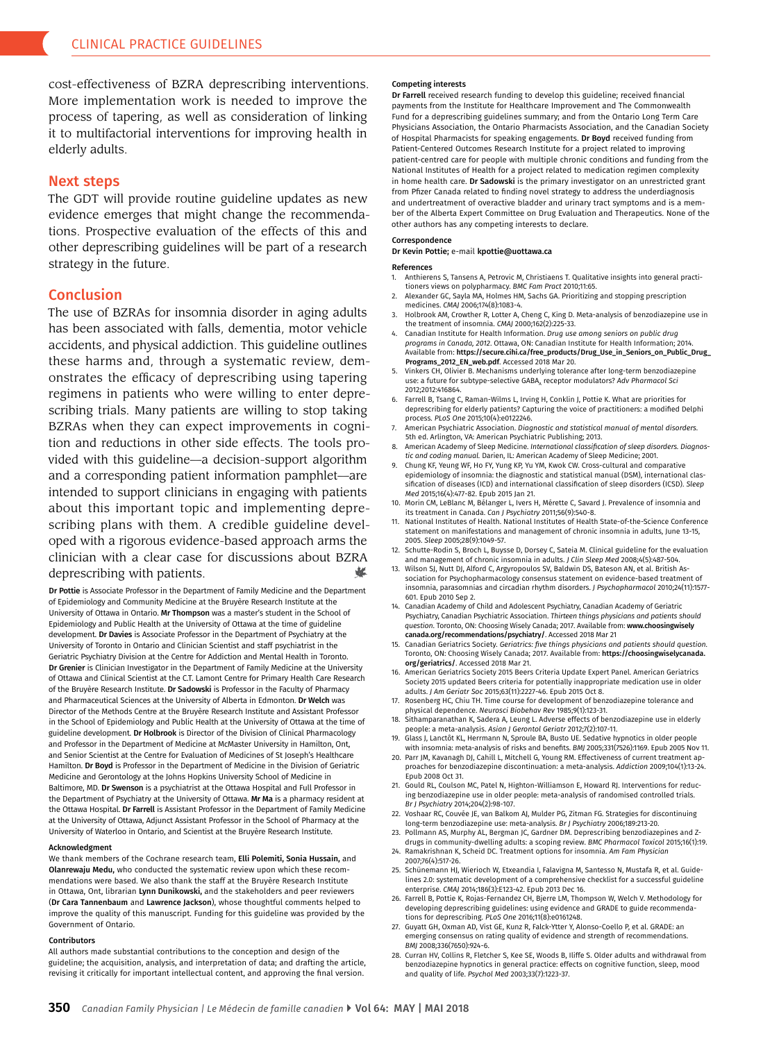cost-effectiveness of BZRA deprescribing interventions. More implementation work is needed to improve the process of tapering, as well as consideration of linking it to multifactorial interventions for improving health in elderly adults.

#### Next steps

The GDT will provide routine guideline updates as new evidence emerges that might change the recommenda tions. Prospective evaluation of the effects of this and other deprescribing guidelines will be part of a research strategy in the future.

#### Conclusion

Į The use of BZRAs for insomnia disorder in aging adults has been associated with falls, dementia, motor vehicle accidents, and physical addiction. This guideline outlines these harms and, through a systematic review, dem onstrates the efficacy of deprescribing using tapering regimens in patients who were willing to enter depre scribing trials. Many patients are willing to stop taking BZRAs when they can expect improvements in cogni tion and reductions in other side effects. The tools pro vided with this guideline—a decision-support algorithm and a corresponding patient information pamphlet—are intended to support clinicians in engaging with patients about this important topic and implementing depre scribing plans with them. A credible guideline devel oped with a rigorous evidence-based approach arms the clinician with a clear case for discussions about BZRA deprescribing with patients.

Dr Pottie is Associate Professor in the Department of Family Medicine and the Department of Epidemiology and Community Medicine at the Bruyère Research Institute at the University of Ottawa in Ontario. Mr Thompson was a master's student in the School of Epidemiology and Public Health at the University of Ottawa at the time of guideline development. Dr Davies is Associate Professor in the Department of Psychiatry at the University of Toronto in Ontario and Clinician Scientist and staff psychiatrist in the Geriatric Psychiatry Division at the Centre for Addiction and Mental Health in Toronto. Dr Grenier is Clinician Investigator in the Department of Family Medicine at the University of Ottawa and Clinical Scientist at the C.T. Lamont Centre for Primary Health Care Research of the Bruyère Research Institute. Dr Sadowski is Professor in the Faculty of Pharmacy and Pharmaceutical Sciences at the University of Alberta in Edmonton. Dr Welch was Director of the Methods Centre at the Bruyère Research Institute and Assistant Professor in the School of Epidemiology and Public Health at the University of Ottawa at the time of guideline development. Dr Holbrook is Director of the Division of Clinical Pharmacology and Professor in the Department of Medicine at McMaster University in Hamilton, Ont, and Senior Scientist at the Centre for Evaluation of Medicines of St Joseph's Healthcare Hamilton. Dr Boyd is Professor in the Department of Medicine in the Division of Geriatric Medicine and Gerontology at the Johns Hopkins University School of Medicine in Baltimore, MD. Dr Swenson is a psychiatrist at the Ottawa Hospital and Full Professor in the Department of Psychiatry at the University of Ottawa. Mr Ma is a pharmacy resident at the Ottawa Hospital. Dr Farrell is Assistant Professor in the Department of Family Medicine at the University of Ottawa, Adjunct Assistant Professor in the School of Pharmacy at the University of Waterloo in Ontario, and Scientist at the Bruyère Research Institute.

#### Acknowledgment

We thank members of the Cochrane research team, Elli Polemiti, Sonia Hussain, and Olanrewaju Medu, who conducted the systematic review upon which these recom mendations were based. We also thank the staff at the Bruyère Research Institute in Ottawa, Ont, librarian Lynn Dunikowski, and the stakeholders and peer reviewers (Dr Cara Tannenbaum and Lawrence Jackson), whose thoughtful comments helped to improve the quality of this manuscript. Funding for this guideline was provided by the Government of Ontario.

#### Contributors

All authors made substantial contributions to the conception and design of the guideline; the acquisition, analysis, and interpretation of data; and drafting the article, revising it critically for important intellectual content, and approving the fnal version.

#### Competing interests

Dr Farrell received research funding to develop this guideline; received fnancial payments from the Institute for Healthcare Improvement and The Commonwealth Fund for a deprescribing guidelines summary; and from the Ontario Long Term Care Physicians Association, the Ontario Pharmacists Association, and the Canadian Society of Hospital Pharmacists for speaking engagements. Dr Boyd received funding from Patient-Centered Outcomes Research Institute for a project related to improving patient-centred care for people with multiple chronic conditions and funding from the National Institutes of Health for a project related to medication regimen complexity in home health care. Dr Sadowski is the primary investigator on an unrestricted grant from Pfzer Canada related to fnding novel strategy to address the underdiagnosis and undertreatment of overactive bladder and urinary tract symptoms and is a mem ber of the Alberta Expert Committee on Drug Evaluation and Therapeutics. None of the other authors has any competing interests to declare.

#### Correspondence

Dr Kevin Pottie; e-mail [kpottie@uottawa.ca](mailto://kpottie@uottawa.ca) 

#### References

- 1. Anthierens S, Tansens A, Petrovic M, Christiaens T. Qualitative insights into general practi tioners views on polypharmacy. *BMC Fam Pract* 2010;11:65.
- 2. Alexander GC, Sayla MA, Holmes HM, Sachs GA. Prioritizing and stopping prescription medicines. *CMAJ* 2006;174(8):1083-4.
- 3. Holbrook AM, Crowther R, Lotter A, Cheng C, King D. Meta-analysis of benzodiazepine use in the treatment of insomnia. *CMAJ* 2000;162(2):225-33.
- 4. Canadian Institute for Health Information. *Drug use among seniors on public drug programs in Canada, 2012*. Ottawa, ON: Canadian Institute for Health Information; 2014. Available from: https://secure.cihi.ca/free\_products/Drug\_Use\_in\_Seniors\_on\_Public\_Drug\_ Programs\_2012\_EN\_web.pdf. Accessed 2018 Mar 20.
- Vinkers CH, Olivier B. Mechanisms underlying tolerance after long-term benzodiazepine use: a future for subtype-selective GABA<sub>A</sub> receptor modulators? *Adv Pharmacol Sci* 2012;2012:416864.
- 6. Farrell B, Tsang C, Raman-Wilms L, Irving H, Conklin J, Pottie K. What are priorities for deprescribing for elderly patients? Capturing the voice of practitioners: a modifed Delphi process. *PLoS One* 2015;10(4):e0122246.
- 7. American Psychiatric Association. *Diagnostic and statistical manual of mental disorders.*  5th ed. Arlington, VA: American Psychiatric Publishing; 2013.
- 8. American Academy of Sleep Medicine. *International classification of sleep disorders. Diagnos tic and coding manual.* Darien, IL: American Academy of Sleep Medicine; 2001.
- 9. Chung KF, Yeung WF, Ho FY, Yung KP, Yu YM, Kwok CW. Cross-cultural and comparative epidemiology of insomnia: the diagnostic and statistical manual (DSM), international clas sifcation of diseases (ICD) and international classifcation of sleep disorders (ICSD). *Sleep Med* 2015;16(4):477-82. Epub 2015 Jan 21.
- 10. Morin CM, LeBlanc M, Bélanger L, Ivers H, Mérette C, Savard J. Prevalence of insomnia and its treatment in Canada. *Can J Psychiatry* 2011;56(9):540-8.
- 11. National Institutes of Health. National Institutes of Health State-of-the-Science Conference statement on manifestations and management of chronic insomnia in adults, June 13-15, 2005. *Sleep* 2005;28(9):1049-57.
- 12. Schutte-Rodin S, Broch L, Buysse D, Dorsey C, Sateia M. Clinical guideline for the evaluation and management of chronic insomnia in adults. *J Clin Sleep Med* 2008;4(5):487-504.
- 13. Wilson SJ, Nutt DJ, Alford C, Argyropoulos SV, Baldwin DS, Bateson AN, et al. British Association for Psychopharmacology consensus statement on evidence-based treatment of insomnia, parasomnias and circadian rhythm disorders. *J Psychopharmacol* 2010;24(11):1577 - 601. Epub 2010 Sep 2.
- 14. Canadian Academy of Child and Adolescent Psychiatry, Canadian Academy of Geriatric Psychiatry, Canadian Psychiatric Association. *Thirteen things physicians and patients should question*. Toronto, ON: Choosing Wisely Canada; 2017. Available from: www.choosingwisely canada.org/recommendations/psychiatry/. Accessed 2018 Mar 21
- 15. Canadian Geriatrics Society. *Geriatrics: five things physicians and patients should question.*  Toronto, ON: Choosing Wisely Canada; 2017. Available from: https://choosingwiselycanada. org/geriatrics/. Accessed 2018 Mar 21.
- 16. American Geriatrics Society 2015 Beers Criteria Update Expert Panel. American Geriatrics Society 2015 updated Beers criteria for potentially inappropriate medication use in older adults. *J Am Geriatr Soc* 2015;63(11):2227-46. Epub 2015 Oct 8.
- 17. Rosenberg HC, Chiu TH. Time course for development of benzodiazepine tolerance and physical dependence. *Neurosci Biobehav Rev* 1985;9(1):123-31.
- 18. Sithamparanathan K, Sadera A, Leung L. Adverse effects of benzodiazepine use in elderly people: a meta-analysis. *Asian J Gerontol Geriatr* 2012;7(2):107-11.
- 19. Glass J, Lanctôt KL, Herrmann N, Sproule BA, Busto UE. Sedative hypnotics in older people with insomnia: meta-analysis of risks and benefts. *BMJ* 2005;331(7526):1169. Epub 2005 Nov 11.
- 20. Parr JM, Kavanagh DJ, Cahill L, Mitchell G, Young RM. Effectiveness of current treatment ap proaches for benzodiazepine discontinuation: a meta-analysis. *Addiction* 2009;104(1):13-24. Epub 2008 Oct 31.
- 21. Gould RL, Coulson MC, Patel N, Highton-Williamson E, Howard RJ. Interventions for reduc ing benzodiazepine use in older people: meta-analysis of randomised controlled trials. *Br J Psychiatry* 2014;204(2):98-107.
- 22. Voshaar RC, Couvée JE, van Balkom AJ, Mulder PG, Zitman FG. Strategies for discontinuing long-term benzodiazepine use: meta-analysis. *Br J Psychiatry* 2006;189:213-20.
- 23. Pollmann AS, Murphy AL, Bergman JC, Gardner DM. Deprescribing benzodiazepines and Z drugs in community-dwelling adults: a scoping review. *BMC Pharmacol Toxicol* 2015;16(1):19.
- 24. Ramakrishnan K, Scheid DC. Treatment options for insomnia. *Am Fam Physician*  2007;76(4):517-26.
- 25. Schünemann HJ, Wierioch W, Etxeandia I, Falavigna M, Santesso N, Mustafa R, et al. Guide lines 2.0: systematic development of a comprehensive checklist for a successful guideline enterprise. *CMAJ* 2014;186(3):E123-42. Epub 2013 Dec 16.
- 26. Farrell B, Pottie K, Rojas-Fernandez CH, Bjerre LM, Thompson W, Welch V. Methodology for developing deprescribing guidelines: using evidence and GRADE to guide recommenda tions for deprescribing. *PLoS One* 2016;11(8):e0161248.
- 27. Guyatt GH, Oxman AD, Vist GE, Kunz R, Falck-Ytter Y, Alonso-Coello P, et al. GRADE: an emerging consensus on rating quality of evidence and strength of recommendations. *BMJ* 2008;336(7650):924-6.
- 28. Curran HV, Collins R, Fletcher S, Kee SE, Woods B, Iliffe S. Older adults and withdrawal from benzodiazepine hypnotics in general practice: effects on cognitive function, sleep, mood and quality of life. *Psychol Med* 2003;33(7):1223-37.